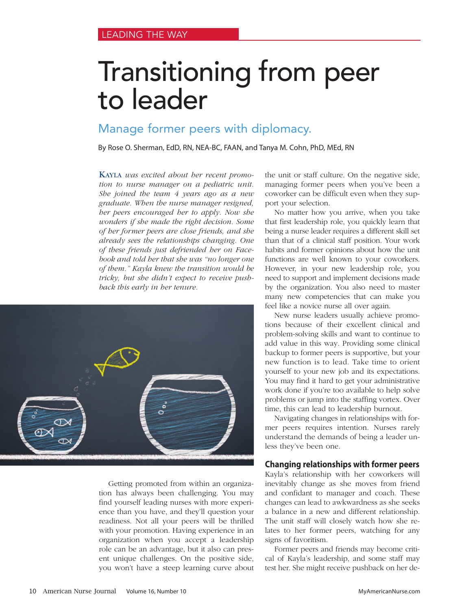# Transitioning from peer to leader

# Manage former peers with diplomacy.

By Rose O. Sherman, EdD, RN, NEA-BC, FAAN, and Tanya M. Cohn, PhD, MEd, RN

KAYLA *was excited about her recent promotion to nurse manager on a pediatric unit. She joined the team 4 years ago as a new graduate. When the nurse manager resigned, her peers encouraged her to apply. Now she wonders if she made the right decision. Some of her former peers are close friends, and she already sees the relationships changing. One of these friends just defriended her on Facebook and told her that she was "no longer one of them." Kayla knew the transition would be tricky, but she didn't expect to receive pushback this early in her tenure.* 



Getting promoted from within an organization has always been challenging. You may find yourself leading nurses with more experience than you have, and they'll question your readiness. Not all your peers will be thrilled with your promotion. Having experience in an organization when you accept a leadership role can be an advantage, but it also can present unique challenges. On the positive side, you won't have a steep learning curve about

the unit or staff culture. On the negative side, managing former peers when you've been a coworker can be difficult even when they support your selection.

No matter how you arrive, when you take that first leadership role, you quickly learn that being a nurse leader requires a different skill set than that of a clinical staff position. Your work habits and former opinions about how the unit functions are well known to your coworkers. However, in your new leadership role, you need to support and implement decisions made by the organization. You also need to master many new competencies that can make you feel like a novice nurse all over again.

New nurse leaders usually achieve promotions because of their excellent clinical and problem-solving skills and want to continue to add value in this way. Providing some clinical backup to former peers is supportive, but your new function is to lead. Take time to orient yourself to your new job and its expectations. You may find it hard to get your administrative work done if you're too available to help solve problems or jump into the staffing vortex. Over time, this can lead to leadership burnout.

Navigating changes in relationships with former peers requires intention. Nurses rarely understand the demands of being a leader unless they've been one.

## **Changing relationships with former peers**

Kayla's relationship with her coworkers will inevitably change as she moves from friend and confidant to manager and coach. These changes can lead to awkwardness as she seeks a balance in a new and different relationship. The unit staff will closely watch how she relates to her former peers, watching for any signs of favoritism.

Former peers and friends may become critical of Kayla's leadership, and some staff may test her. She might receive pushback on her de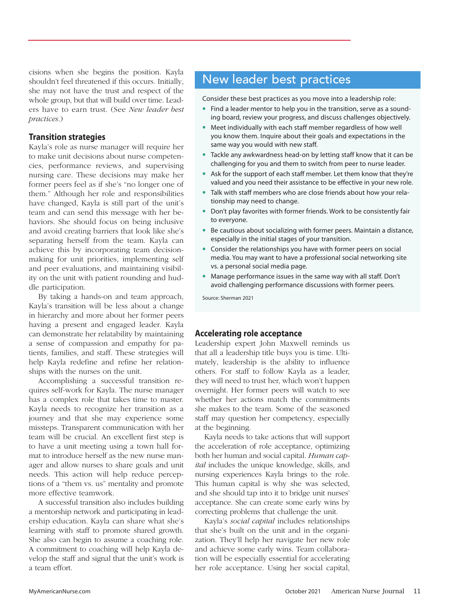cisions when she begins the position. Kayla shouldn't feel threatened if this occurs. Initially, she may not have the trust and respect of the whole group, but that will build over time. Leaders have to earn trust. (See *New leader best practices*.)

## **Transition strategies**

Kayla's role as nurse manager will require her to make unit decisions about nurse competencies, performance reviews, and supervising nursing care. These decisions may make her former peers feel as if she's "no longer one of them." Although her role and responsibilities have changed, Kayla is still part of the unit's team and can send this message with her behaviors. She should focus on being inclusive and avoid creating barriers that look like she's separating herself from the team. Kayla can achieve this by incorporating team decisionmaking for unit priorities, implementing self and peer evaluations, and maintaining visibility on the unit with patient rounding and huddle participation.

By taking a hands-on and team approach, Kayla's transition will be less about a change in hierarchy and more about her former peers having a present and engaged leader. Kayla can demonstrate her relatability by maintaining a sense of compassion and empathy for patients, families, and staff. These strategies will help Kayla redefine and refine her relationships with the nurses on the unit.

Accomplishing a successful transition requires self-work for Kayla. The nurse manager has a complex role that takes time to master. Kayla needs to recognize her transition as a journey and that she may experience some missteps. Transparent communication with her team will be crucial. An excellent first step is to have a unit meeting using a town hall format to introduce herself as the new nurse manager and allow nurses to share goals and unit needs. This action will help reduce perceptions of a "them vs. us" mentality and promote more effective teamwork.

A successful transition also includes building a mentorship network and participating in leadership education. Kayla can share what she's learning with staff to promote shared growth. She also can begin to assume a coaching role. A commitment to coaching will help Kayla develop the staff and signal that the unit's work is a team effort.

# New leader best practices

Consider these best practices as you move into a leadership role:

- **•** Find a leader mentor to help you in the transition, serve as a sounding board, review your progress, and discuss challenges objectively.
- **•** Meet individually with each staff member regardless of how well you know them. Inquire about their goals and expectations in the same way you would with new staff.
- **•** Tackle any awkwardness head-on by letting staff know that it can be challenging for you and them to switch from peer to nurse leader.
- **•** Ask for the support of each staff member. Let them know that they're valued and you need their assistance to be effective in your new role.
- **•** Talk with staff members who are close friends about how your relationship may need to change.
- **•** Don't play favorites with former friends. Work to be consistently fair to everyone.
- **•** Be cautious about socializing with former peers. Maintain a distance, especially in the initial stages of your transition.
- **•** Consider the relationships you have with former peers on social media. You may want to have a professional social networking site vs. a personal social media page.
- **•** Manage performance issues in the same way with all staff. Don't avoid challenging performance discussions with former peers.

Source: Sherman 2021

I

## **Accelerating role acceptance**

Leadership expert John Maxwell reminds us that all a leadership title buys you is time. Ultimately, leadership is the ability to influence others. For staff to follow Kayla as a leader, they will need to trust her, which won't happen overnight. Her former peers will watch to see whether her actions match the commitments she makes to the team. Some of the seasoned staff may question her competency, especially at the beginning.

Kayla needs to take actions that will support the acceleration of role acceptance, optimizing both her human and social capital. *Human capital* includes the unique knowledge, skills, and nursing experiences Kayla brings to the role. This human capital is why she was selected, and she should tap into it to bridge unit nurses' acceptance. She can create some early wins by correcting problems that challenge the unit.

Kayla's *social capital* includes relationships that she's built on the unit and in the organization. They'll help her navigate her new role and achieve some early wins. Team collaboration will be especially essential for accelerating her role acceptance. Using her social capital,